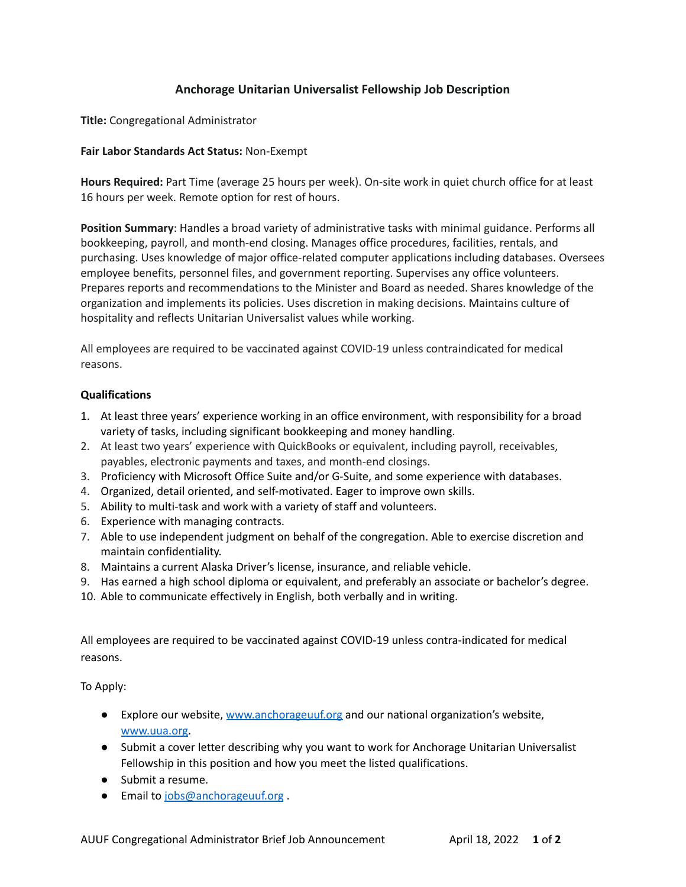## **Anchorage Unitarian Universalist Fellowship Job Description**

**Title:** Congregational Administrator

## **Fair Labor Standards Act Status:** Non-Exempt

**Hours Required:** Part Time (average 25 hours per week). On-site work in quiet church office for at least 16 hours per week. Remote option for rest of hours.

**Position Summary**: Handles a broad variety of administrative tasks with minimal guidance. Performs all bookkeeping, payroll, and month-end closing. Manages office procedures, facilities, rentals, and purchasing. Uses knowledge of major office-related computer applications including databases. Oversees employee benefits, personnel files, and government reporting. Supervises any office volunteers. Prepares reports and recommendations to the Minister and Board as needed. Shares knowledge of the organization and implements its policies. Uses discretion in making decisions. Maintains culture of hospitality and reflects Unitarian Universalist values while working.

All employees are required to be vaccinated against COVID-19 unless contraindicated for medical reasons.

## **Qualifications**

- 1. At least three years' experience working in an office environment, with responsibility for a broad variety of tasks, including significant bookkeeping and money handling.
- 2. At least two years' experience with QuickBooks or equivalent, including payroll, receivables, payables, electronic payments and taxes, and month-end closings.
- 3. Proficiency with Microsoft Office Suite and/or G-Suite, and some experience with databases.
- 4. Organized, detail oriented, and self-motivated. Eager to improve own skills.
- 5. Ability to multi-task and work with a variety of staff and volunteers.
- 6. Experience with managing contracts.
- 7. Able to use independent judgment on behalf of the congregation. Able to exercise discretion and maintain confidentiality.
- 8. Maintains a current Alaska Driver's license, insurance, and reliable vehicle.
- 9. Has earned a high school diploma or equivalent, and preferably an associate or bachelor's degree.
- 10. Able to communicate effectively in English, both verbally and in writing.

All employees are required to be vaccinated against COVID-19 unless contra-indicated for medical reasons.

To Apply:

- Explore our website, [www.anchorageuuf.org](http://www.anchorageuuf.org) and our national organization's website, [www.uua.org.](http://www.uua.org)
- Submit a cover letter describing why you want to work for Anchorage Unitarian Universalist Fellowship in this position and how you meet the listed qualifications.
- Submit a resume.
- Email to [jobs@anchorageuuf.org](mailto:jobs@anchorageuuf.org).